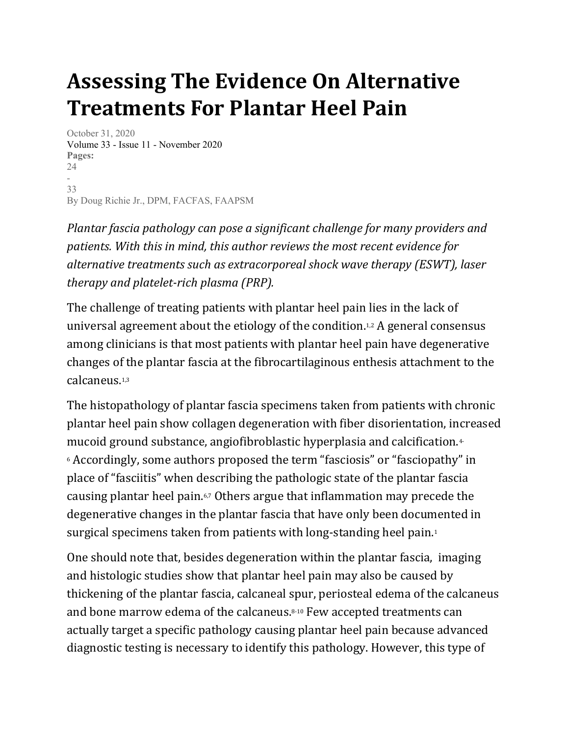# Assessing The Evidence On Alternative Treatments For Plantar Heel Pain

October 31, 2020 Volume 33 - Issue 11 - November 2020 Pages: 24 - 33 By Doug Richie Jr., DPM, FACFAS, FAAPSM

Plantar fascia pathology can pose a significant challenge for many providers and patients. With this in mind, this author reviews the most recent evidence for alternative treatments such as extracorporeal shock wave therapy (ESWT), laser therapy and platelet-rich plasma (PRP).

The challenge of treating patients with plantar heel pain lies in the lack of universal agreement about the etiology of the condition.1,2 A general consensus among clinicians is that most patients with plantar heel pain have degenerative changes of the plantar fascia at the fibrocartilaginous enthesis attachment to the calcaneus.1,3

The histopathology of plantar fascia specimens taken from patients with chronic plantar heel pain show collagen degeneration with fiber disorientation, increased mucoid ground substance, angiofibroblastic hyperplasia and calcification.4- <sup>6</sup> Accordingly, some authors proposed the term "fasciosis" or "fasciopathy" in place of "fasciitis" when describing the pathologic state of the plantar fascia causing plantar heel pain.6,7 Others argue that inflammation may precede the degenerative changes in the plantar fascia that have only been documented in surgical specimens taken from patients with long-standing heel pain.<sup>1</sup>

One should note that, besides degeneration within the plantar fascia, imaging and histologic studies show that plantar heel pain may also be caused by thickening of the plantar fascia, calcaneal spur, periosteal edema of the calcaneus and bone marrow edema of the calcaneus.8-10 Few accepted treatments can actually target a specific pathology causing plantar heel pain because advanced diagnostic testing is necessary to identify this pathology. However, this type of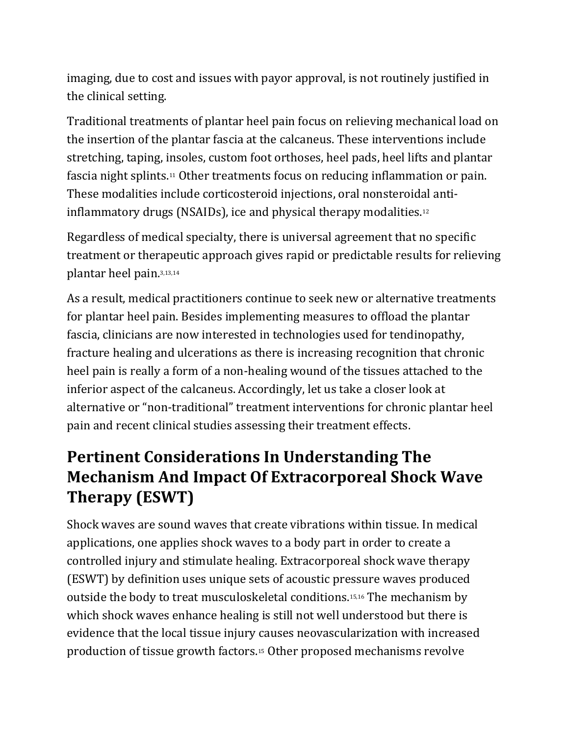imaging, due to cost and issues with payor approval, is not routinely justified in the clinical setting.

Traditional treatments of plantar heel pain focus on relieving mechanical load on the insertion of the plantar fascia at the calcaneus. These interventions include stretching, taping, insoles, custom foot orthoses, heel pads, heel lifts and plantar fascia night splints.11 Other treatments focus on reducing inflammation or pain. These modalities include corticosteroid injections, oral nonsteroidal antiinflammatory drugs (NSAIDs), ice and physical therapy modalities.<sup>12</sup>

Regardless of medical specialty, there is universal agreement that no specific treatment or therapeutic approach gives rapid or predictable results for relieving plantar heel pain.3,13,14

As a result, medical practitioners continue to seek new or alternative treatments for plantar heel pain. Besides implementing measures to offload the plantar fascia, clinicians are now interested in technologies used for tendinopathy, fracture healing and ulcerations as there is increasing recognition that chronic heel pain is really a form of a non-healing wound of the tissues attached to the inferior aspect of the calcaneus. Accordingly, let us take a closer look at alternative or "non-traditional" treatment interventions for chronic plantar heel pain and recent clinical studies assessing their treatment effects.

#### Pertinent Considerations In Understanding The Mechanism And Impact Of Extracorporeal Shock Wave Therapy (ESWT)

Shock waves are sound waves that create vibrations within tissue. In medical applications, one applies shock waves to a body part in order to create a controlled injury and stimulate healing. Extracorporeal shock wave therapy (ESWT) by definition uses unique sets of acoustic pressure waves produced outside the body to treat musculoskeletal conditions.15,16 The mechanism by which shock waves enhance healing is still not well understood but there is evidence that the local tissue injury causes neovascularization with increased production of tissue growth factors.15 Other proposed mechanisms revolve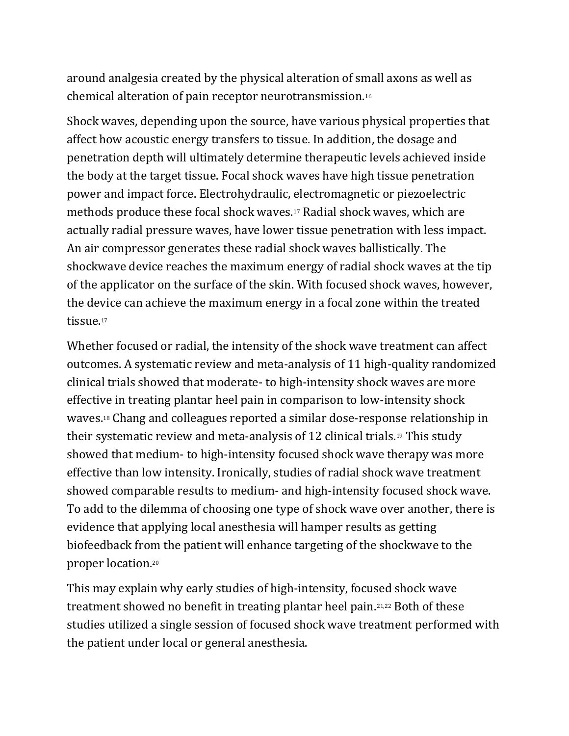around analgesia created by the physical alteration of small axons as well as chemical alteration of pain receptor neurotransmission.<sup>16</sup>

Shock waves, depending upon the source, have various physical properties that affect how acoustic energy transfers to tissue. In addition, the dosage and penetration depth will ultimately determine therapeutic levels achieved inside the body at the target tissue. Focal shock waves have high tissue penetration power and impact force. Electrohydraulic, electromagnetic or piezoelectric methods produce these focal shock waves.17 Radial shock waves, which are actually radial pressure waves, have lower tissue penetration with less impact. An air compressor generates these radial shock waves ballistically. The shockwave device reaches the maximum energy of radial shock waves at the tip of the applicator on the surface of the skin. With focused shock waves, however, the device can achieve the maximum energy in a focal zone within the treated tissue.<sup>17</sup>

Whether focused or radial, the intensity of the shock wave treatment can affect outcomes. A systematic review and meta-analysis of 11 high-quality randomized clinical trials showed that moderate- to high-intensity shock waves are more effective in treating plantar heel pain in comparison to low-intensity shock waves.18 Chang and colleagues reported a similar dose-response relationship in their systematic review and meta-analysis of 12 clinical trials.19 This study showed that medium- to high-intensity focused shock wave therapy was more effective than low intensity. Ironically, studies of radial shock wave treatment showed comparable results to medium- and high-intensity focused shock wave. To add to the dilemma of choosing one type of shock wave over another, there is evidence that applying local anesthesia will hamper results as getting biofeedback from the patient will enhance targeting of the shockwave to the proper location.<sup>20</sup>

This may explain why early studies of high-intensity, focused shock wave treatment showed no benefit in treating plantar heel pain.21,22 Both of these studies utilized a single session of focused shock wave treatment performed with the patient under local or general anesthesia.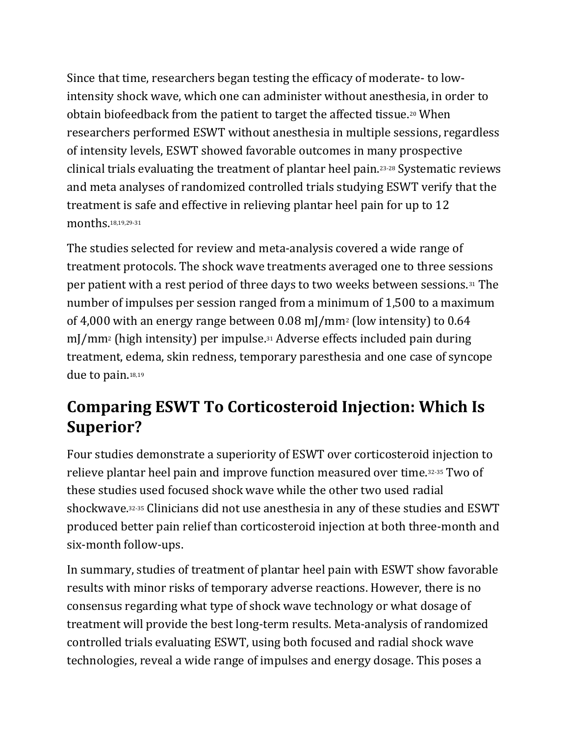Since that time, researchers began testing the efficacy of moderate- to lowintensity shock wave, which one can administer without anesthesia, in order to obtain biofeedback from the patient to target the affected tissue.20 When researchers performed ESWT without anesthesia in multiple sessions, regardless of intensity levels, ESWT showed favorable outcomes in many prospective clinical trials evaluating the treatment of plantar heel pain.23-28 Systematic reviews and meta analyses of randomized controlled trials studying ESWT verify that the treatment is safe and effective in relieving plantar heel pain for up to 12 months.18,19,29-31

The studies selected for review and meta-analysis covered a wide range of treatment protocols. The shock wave treatments averaged one to three sessions per patient with a rest period of three days to two weeks between sessions.31 The number of impulses per session ranged from a minimum of 1,500 to a maximum of 4,000 with an energy range between 0.08 mJ/mm2 (low intensity) to 0.64 mJ/mm<sup>2</sup> (high intensity) per impulse.<sup>31</sup> Adverse effects included pain during treatment, edema, skin redness, temporary paresthesia and one case of syncope due to pain.18,19

### Comparing ESWT To Corticosteroid Injection: Which Is Superior?

Four studies demonstrate a superiority of ESWT over corticosteroid injection to relieve plantar heel pain and improve function measured over time.32-35 Two of these studies used focused shock wave while the other two used radial shockwave.32-35 Clinicians did not use anesthesia in any of these studies and ESWT produced better pain relief than corticosteroid injection at both three-month and six-month follow-ups.

In summary, studies of treatment of plantar heel pain with ESWT show favorable results with minor risks of temporary adverse reactions. However, there is no consensus regarding what type of shock wave technology or what dosage of treatment will provide the best long-term results. Meta-analysis of randomized controlled trials evaluating ESWT, using both focused and radial shock wave technologies, reveal a wide range of impulses and energy dosage. This poses a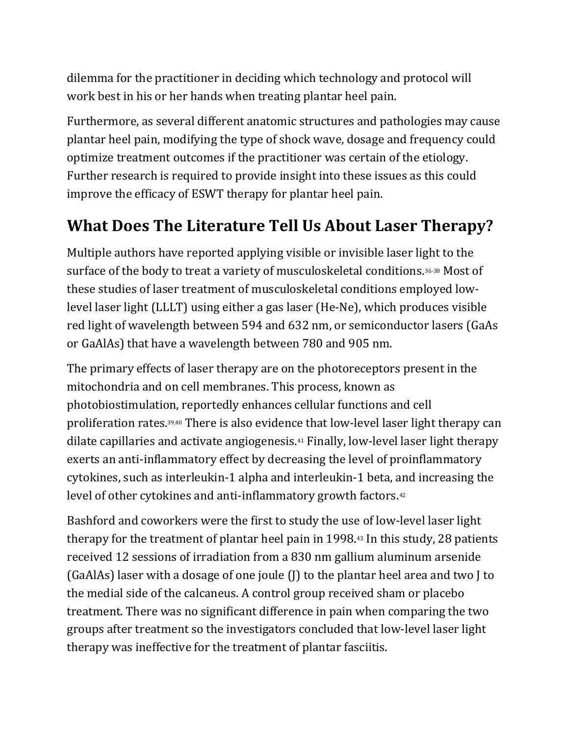dilemma for the practitioner in deciding which technology and protocol will work best in his or her hands when treating plantar heel pain.

Furthermore, as several different anatomic structures and pathologies may cause plantar heel pain, modifying the type of shock wave, dosage and frequency could optimize treatment outcomes if the practitioner was certain of the etiology. Further research is required to provide insight into these issues as this could improve the efficacy of ESWT therapy for plantar heel pain.

#### What Does The Literature Tell Us About Laser Therapy?

Multiple authors have reported applying visible or invisible laser light to the surface of the body to treat a variety of musculoskeletal conditions.36-38 Most of these studies of laser treatment of musculoskeletal conditions employed lowlevel laser light (LLLT) using either a gas laser (He-Ne), which produces visible red light of wavelength between 594 and 632 nm, or semiconductor lasers (GaAs or GaAlAs) that have a wavelength between 780 and 905 nm.

The primary effects of laser therapy are on the photoreceptors present in the mitochondria and on cell membranes. This process, known as photobiostimulation, reportedly enhances cellular functions and cell proliferation rates.39,40 There is also evidence that low-level laser light therapy can dilate capillaries and activate angiogenesis.41 Finally, low-level laser light therapy exerts an anti-inflammatory effect by decreasing the level of proinflammatory cytokines, such as interleukin-1 alpha and interleukin-1 beta, and increasing the level of other cytokines and anti-inflammatory growth factors.<sup>42</sup>

Bashford and coworkers were the first to study the use of low-level laser light therapy for the treatment of plantar heel pain in 1998.43 In this study, 28 patients received 12 sessions of irradiation from a 830 nm gallium aluminum arsenide (GaAlAs) laser with a dosage of one joule (J) to the plantar heel area and two J to the medial side of the calcaneus. A control group received sham or placebo treatment. There was no significant difference in pain when comparing the two groups after treatment so the investigators concluded that low-level laser light therapy was ineffective for the treatment of plantar fasciitis.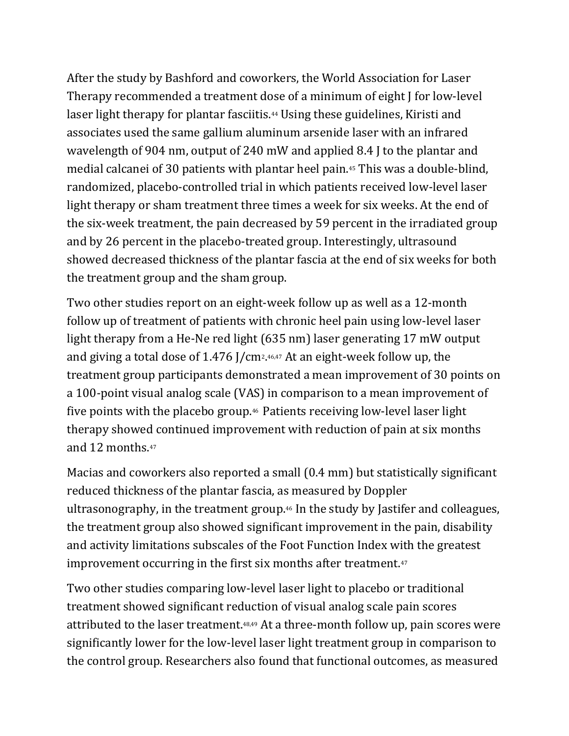After the study by Bashford and coworkers, the World Association for Laser Therapy recommended a treatment dose of a minimum of eight J for low-level laser light therapy for plantar fasciitis.<sup>44</sup> Using these guidelines, Kiristi and associates used the same gallium aluminum arsenide laser with an infrared wavelength of 904 nm, output of 240 mW and applied 8.4 J to the plantar and medial calcanei of 30 patients with plantar heel pain.45 This was a double-blind, randomized, placebo-controlled trial in which patients received low-level laser light therapy or sham treatment three times a week for six weeks. At the end of the six-week treatment, the pain decreased by 59 percent in the irradiated group and by 26 percent in the placebo-treated group. Interestingly, ultrasound showed decreased thickness of the plantar fascia at the end of six weeks for both the treatment group and the sham group.

Two other studies report on an eight-week follow up as well as a 12-month follow up of treatment of patients with chronic heel pain using low-level laser light therapy from a He-Ne red light (635 nm) laser generating 17 mW output and giving a total dose of 1.476 J/cm2. 46,47 At an eight-week follow up, the treatment group participants demonstrated a mean improvement of 30 points on a 100-point visual analog scale (VAS) in comparison to a mean improvement of five points with the placebo group.46 Patients receiving low-level laser light therapy showed continued improvement with reduction of pain at six months and 12 months.<sup>47</sup>

Macias and coworkers also reported a small (0.4 mm) but statistically significant reduced thickness of the plantar fascia, as measured by Doppler ultrasonography, in the treatment group.46 In the study by Jastifer and colleagues, the treatment group also showed significant improvement in the pain, disability and activity limitations subscales of the Foot Function Index with the greatest improvement occurring in the first six months after treatment.<sup>47</sup>

Two other studies comparing low-level laser light to placebo or traditional treatment showed significant reduction of visual analog scale pain scores attributed to the laser treatment.48,49 At a three-month follow up, pain scores were significantly lower for the low-level laser light treatment group in comparison to the control group. Researchers also found that functional outcomes, as measured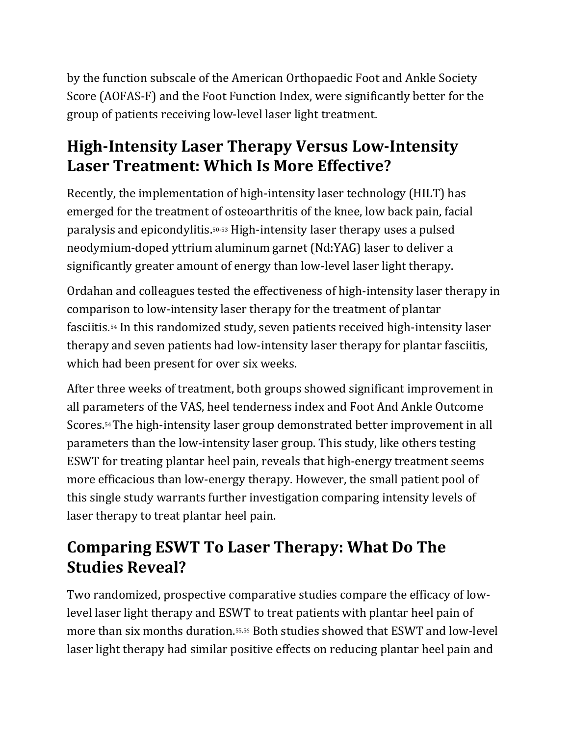by the function subscale of the American Orthopaedic Foot and Ankle Society Score (AOFAS-F) and the Foot Function Index, were significantly better for the group of patients receiving low-level laser light treatment.

#### High-Intensity Laser Therapy Versus Low-Intensity Laser Treatment: Which Is More Effective?

Recently, the implementation of high-intensity laser technology (HILT) has emerged for the treatment of osteoarthritis of the knee, low back pain, facial paralysis and epicondylitis.50-53 High-intensity laser therapy uses a pulsed neodymium-doped yttrium aluminum garnet (Nd:YAG) laser to deliver a significantly greater amount of energy than low-level laser light therapy.

Ordahan and colleagues tested the effectiveness of high-intensity laser therapy in comparison to low-intensity laser therapy for the treatment of plantar fasciitis.54 In this randomized study, seven patients received high-intensity laser therapy and seven patients had low-intensity laser therapy for plantar fasciitis, which had been present for over six weeks.

After three weeks of treatment, both groups showed significant improvement in all parameters of the VAS, heel tenderness index and Foot And Ankle Outcome Scores.54 The high-intensity laser group demonstrated better improvement in all parameters than the low-intensity laser group. This study, like others testing ESWT for treating plantar heel pain, reveals that high-energy treatment seems more efficacious than low-energy therapy. However, the small patient pool of this single study warrants further investigation comparing intensity levels of laser therapy to treat plantar heel pain.

### Comparing ESWT To Laser Therapy: What Do The Studies Reveal?

Two randomized, prospective comparative studies compare the efficacy of lowlevel laser light therapy and ESWT to treat patients with plantar heel pain of more than six months duration.55,56 Both studies showed that ESWT and low-level laser light therapy had similar positive effects on reducing plantar heel pain and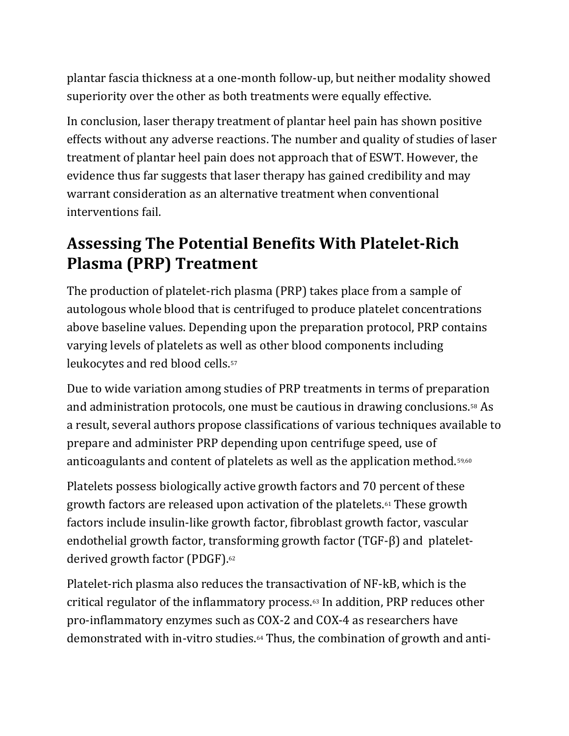plantar fascia thickness at a one-month follow-up, but neither modality showed superiority over the other as both treatments were equally effective.

In conclusion, laser therapy treatment of plantar heel pain has shown positive effects without any adverse reactions. The number and quality of studies of laser treatment of plantar heel pain does not approach that of ESWT. However, the evidence thus far suggests that laser therapy has gained credibility and may warrant consideration as an alternative treatment when conventional interventions fail.

#### Assessing The Potential Benefits With Platelet-Rich Plasma (PRP) Treatment

The production of platelet-rich plasma (PRP) takes place from a sample of autologous whole blood that is centrifuged to produce platelet concentrations above baseline values. Depending upon the preparation protocol, PRP contains varying levels of platelets as well as other blood components including leukocytes and red blood cells.<sup>57</sup>

Due to wide variation among studies of PRP treatments in terms of preparation and administration protocols, one must be cautious in drawing conclusions.58 As a result, several authors propose classifications of various techniques available to prepare and administer PRP depending upon centrifuge speed, use of anticoagulants and content of platelets as well as the application method.<sup>59,60</sup>

Platelets possess biologically active growth factors and 70 percent of these growth factors are released upon activation of the platelets.61 These growth factors include insulin-like growth factor, fibroblast growth factor, vascular endothelial growth factor, transforming growth factor (TGF-β) and plateletderived growth factor (PDGF).<sup>62</sup>

Platelet-rich plasma also reduces the transactivation of NF-kB, which is the critical regulator of the inflammatory process.63 In addition, PRP reduces other pro-inflammatory enzymes such as COX-2 and COX-4 as researchers have demonstrated with in-vitro studies.64 Thus, the combination of growth and anti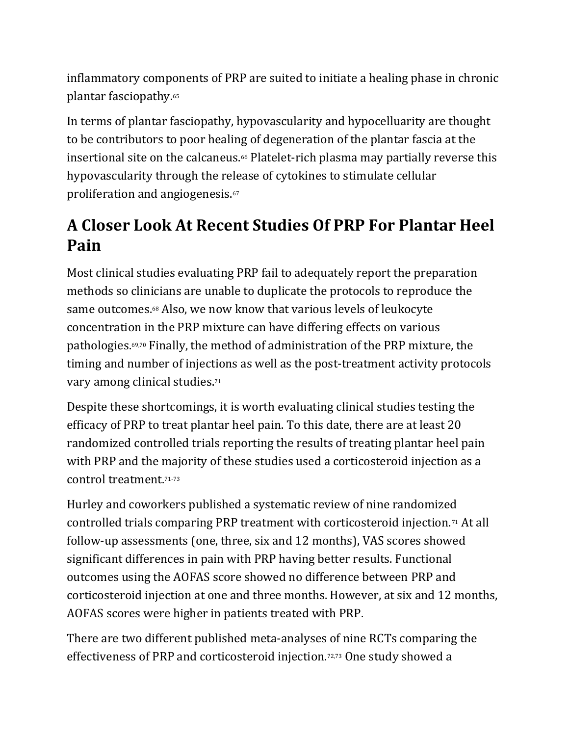inflammatory components of PRP are suited to initiate a healing phase in chronic plantar fasciopathy.<sup>65</sup>

In terms of plantar fasciopathy, hypovascularity and hypocelluarity are thought to be contributors to poor healing of degeneration of the plantar fascia at the insertional site on the calcaneus.<sup>66</sup> Platelet-rich plasma may partially reverse this hypovascularity through the release of cytokines to stimulate cellular proliferation and angiogenesis.<sup>67</sup>

#### A Closer Look At Recent Studies Of PRP For Plantar Heel Pain

Most clinical studies evaluating PRP fail to adequately report the preparation methods so clinicians are unable to duplicate the protocols to reproduce the same outcomes.68 Also, we now know that various levels of leukocyte concentration in the PRP mixture can have differing effects on various pathologies.69,70 Finally, the method of administration of the PRP mixture, the timing and number of injections as well as the post-treatment activity protocols vary among clinical studies.<sup>71</sup>

Despite these shortcomings, it is worth evaluating clinical studies testing the efficacy of PRP to treat plantar heel pain. To this date, there are at least 20 randomized controlled trials reporting the results of treating plantar heel pain with PRP and the majority of these studies used a corticosteroid injection as a control treatment.71-73

Hurley and coworkers published a systematic review of nine randomized controlled trials comparing PRP treatment with corticosteroid injection.71 At all follow-up assessments (one, three, six and 12 months), VAS scores showed significant differences in pain with PRP having better results. Functional outcomes using the AOFAS score showed no difference between PRP and corticosteroid injection at one and three months. However, at six and 12 months, AOFAS scores were higher in patients treated with PRP.

There are two different published meta-analyses of nine RCTs comparing the effectiveness of PRP and corticosteroid injection.72,73 One study showed a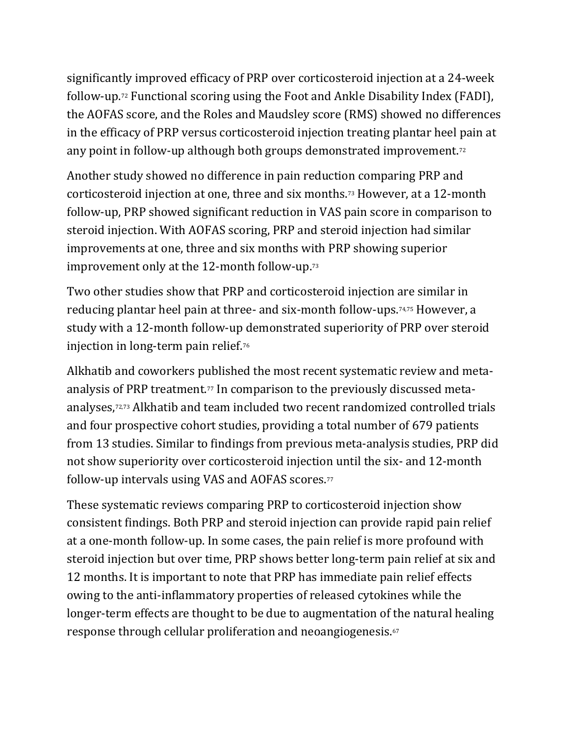significantly improved efficacy of PRP over corticosteroid injection at a 24-week follow-up.72 Functional scoring using the Foot and Ankle Disability Index (FADI), the AOFAS score, and the Roles and Maudsley score (RMS) showed no differences in the efficacy of PRP versus corticosteroid injection treating plantar heel pain at any point in follow-up although both groups demonstrated improvement.<sup>72</sup>

Another study showed no difference in pain reduction comparing PRP and corticosteroid injection at one, three and six months.73 However, at a 12-month follow-up, PRP showed significant reduction in VAS pain score in comparison to steroid injection. With AOFAS scoring, PRP and steroid injection had similar improvements at one, three and six months with PRP showing superior improvement only at the 12-month follow-up.<sup>73</sup>

Two other studies show that PRP and corticosteroid injection are similar in reducing plantar heel pain at three- and six-month follow-ups.74,75 However, a study with a 12-month follow-up demonstrated superiority of PRP over steroid injection in long-term pain relief.<sup>76</sup>

Alkhatib and coworkers published the most recent systematic review and metaanalysis of PRP treatment.<sup>77</sup> In comparison to the previously discussed metaanalyses,72,73 Alkhatib and team included two recent randomized controlled trials and four prospective cohort studies, providing a total number of 679 patients from 13 studies. Similar to findings from previous meta-analysis studies, PRP did not show superiority over corticosteroid injection until the six- and 12-month follow-up intervals using VAS and AOFAS scores.<sup>77</sup>

These systematic reviews comparing PRP to corticosteroid injection show consistent findings. Both PRP and steroid injection can provide rapid pain relief at a one-month follow-up. In some cases, the pain relief is more profound with steroid injection but over time, PRP shows better long-term pain relief at six and 12 months. It is important to note that PRP has immediate pain relief effects owing to the anti-inflammatory properties of released cytokines while the longer-term effects are thought to be due to augmentation of the natural healing response through cellular proliferation and neoangiogenesis.<sup>67</sup>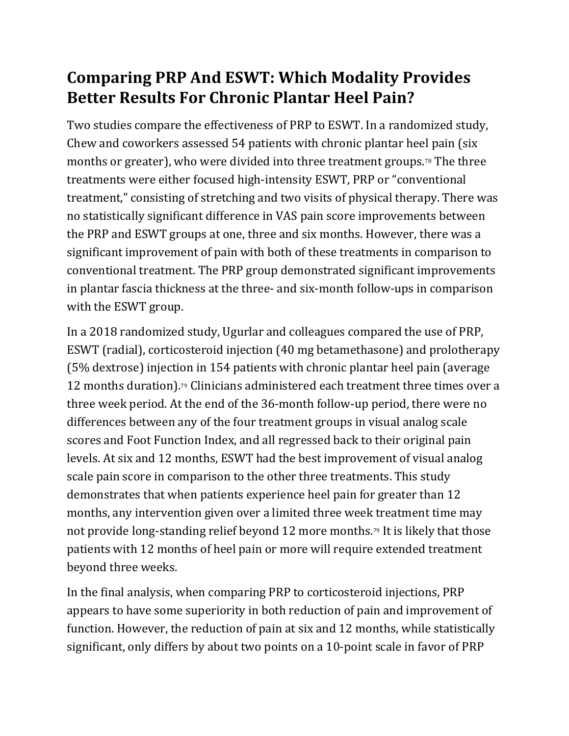#### Comparing PRP And ESWT: Which Modality Provides Better Results For Chronic Plantar Heel Pain?

Two studies compare the effectiveness of PRP to ESWT. In a randomized study, Chew and coworkers assessed 54 patients with chronic plantar heel pain (six months or greater), who were divided into three treatment groups.78 The three treatments were either focused high-intensity ESWT, PRP or "conventional treatment," consisting of stretching and two visits of physical therapy. There was no statistically significant difference in VAS pain score improvements between the PRP and ESWT groups at one, three and six months. However, there was a significant improvement of pain with both of these treatments in comparison to conventional treatment. The PRP group demonstrated significant improvements in plantar fascia thickness at the three- and six-month follow-ups in comparison with the ESWT group.

In a 2018 randomized study, Ugurlar and colleagues compared the use of PRP, ESWT (radial), corticosteroid injection (40 mg betamethasone) and prolotherapy (5% dextrose) injection in 154 patients with chronic plantar heel pain (average 12 months duration).<sup>79</sup> Clinicians administered each treatment three times over a three week period. At the end of the 36-month follow-up period, there were no differences between any of the four treatment groups in visual analog scale scores and Foot Function Index, and all regressed back to their original pain levels. At six and 12 months, ESWT had the best improvement of visual analog scale pain score in comparison to the other three treatments. This study demonstrates that when patients experience heel pain for greater than 12 months, any intervention given over a limited three week treatment time may not provide long-standing relief beyond 12 more months.<sup>79</sup> It is likely that those patients with 12 months of heel pain or more will require extended treatment beyond three weeks.

In the final analysis, when comparing PRP to corticosteroid injections, PRP appears to have some superiority in both reduction of pain and improvement of function. However, the reduction of pain at six and 12 months, while statistically significant, only differs by about two points on a 10-point scale in favor of PRP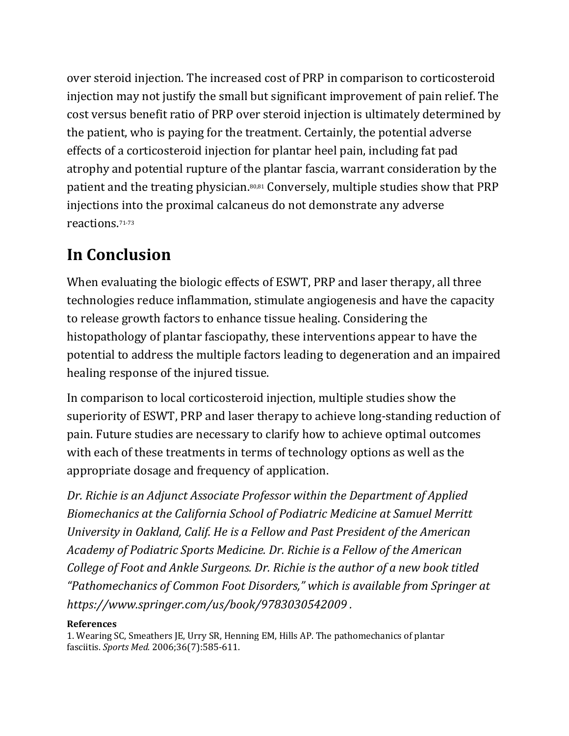over steroid injection. The increased cost of PRP in comparison to corticosteroid injection may not justify the small but significant improvement of pain relief. The cost versus benefit ratio of PRP over steroid injection is ultimately determined by the patient, who is paying for the treatment. Certainly, the potential adverse effects of a corticosteroid injection for plantar heel pain, including fat pad atrophy and potential rupture of the plantar fascia, warrant consideration by the patient and the treating physician.80,81 Conversely, multiple studies show that PRP injections into the proximal calcaneus do not demonstrate any adverse reactions.71-73

## In Conclusion

When evaluating the biologic effects of ESWT, PRP and laser therapy, all three technologies reduce inflammation, stimulate angiogenesis and have the capacity to release growth factors to enhance tissue healing. Considering the histopathology of plantar fasciopathy, these interventions appear to have the potential to address the multiple factors leading to degeneration and an impaired healing response of the injured tissue.

In comparison to local corticosteroid injection, multiple studies show the superiority of ESWT, PRP and laser therapy to achieve long-standing reduction of pain. Future studies are necessary to clarify how to achieve optimal outcomes with each of these treatments in terms of technology options as well as the appropriate dosage and frequency of application.

Dr. Richie is an Adjunct Associate Professor within the Department of Applied Biomechanics at the California School of Podiatric Medicine at Samuel Merritt University in Oakland, Calif. He is a Fellow and Past President of the American Academy of Podiatric Sports Medicine. Dr. Richie is a Fellow of the American College of Foot and Ankle Surgeons. Dr. Richie is the author of a new book titled "Pathomechanics of Common Foot Disorders," which is available from Springer at https://www.springer.com/us/book/9783030542009 .

#### References

1. Wearing SC, Smeathers JE, Urry SR, Henning EM, Hills AP. The pathomechanics of plantar fasciitis. Sports Med. 2006;36(7):585-611.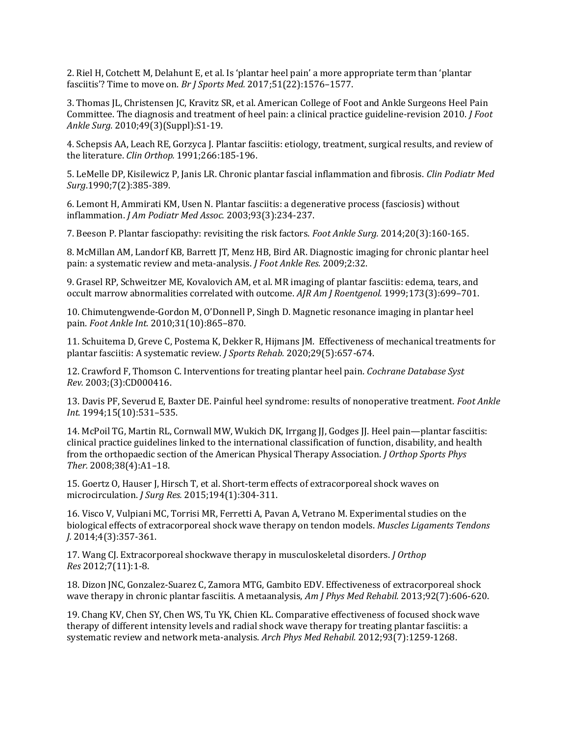2. Riel H, Cotchett M, Delahunt E, et al. Is 'plantar heel pain' a more appropriate term than 'plantar fasciitis'? Time to move on. Br J Sports Med. 2017;51(22):1576–1577.

3. Thomas JL, Christensen JC, Kravitz SR, et al. American College of Foot and Ankle Surgeons Heel Pain Committee. The diagnosis and treatment of heel pain: a clinical practice guideline-revision 2010. J Foot Ankle Surg. 2010;49(3)(Suppl):S1-19.

4. Schepsis AA, Leach RE, Gorzyca J. Plantar fasciitis: etiology, treatment, surgical results, and review of the literature. Clin Orthop. 1991;266:185-196.

5. LeMelle DP, Kisilewicz P, Janis LR. Chronic plantar fascial inflammation and fibrosis. Clin Podiatr Med Surg.1990;7(2):385-389.

6. Lemont H, Ammirati KM, Usen N. Plantar fasciitis: a degenerative process (fasciosis) without inflammation. J Am Podiatr Med Assoc. 2003;93(3):234-237.

7. Beeson P. Plantar fasciopathy: revisiting the risk factors. Foot Ankle Surg. 2014;20(3):160-165.

8. McMillan AM, Landorf KB, Barrett JT, Menz HB, Bird AR. Diagnostic imaging for chronic plantar heel pain: a systematic review and meta-analysis. J Foot Ankle Res. 2009;2:32.

9. Grasel RP, Schweitzer ME, Kovalovich AM, et al. MR imaging of plantar fasciitis: edema, tears, and occult marrow abnormalities correlated with outcome. AJR Am J Roentgenol. 1999;173(3):699–701.

10. Chimutengwende-Gordon M, O'Donnell P, Singh D. Magnetic resonance imaging in plantar heel pain. Foot Ankle Int. 2010;31(10):865–870.

11. Schuitema D, Greve C, Postema K, Dekker R, Hijmans JM. Effectiveness of mechanical treatments for plantar fasciitis: A systematic review. J Sports Rehab. 2020;29(5):657-674.

12. Crawford F, Thomson C. Interventions for treating plantar heel pain. Cochrane Database Syst Rev. 2003;(3):CD000416.

13. Davis PF, Severud E, Baxter DE. Painful heel syndrome: results of nonoperative treatment. Foot Ankle Int. 1994;15(10):531–535.

14. McPoil TG, Martin RL, Cornwall MW, Wukich DK, Irrgang JJ, Godges JJ. Heel pain—plantar fasciitis: clinical practice guidelines linked to the international classification of function, disability, and health from the orthopaedic section of the American Physical Therapy Association. J Orthop Sports Phys Ther. 2008;38(4):A1–18.

15. Goertz O, Hauser J, Hirsch T, et al. Short-term effects of extracorporeal shock waves on microcirculation. J Surg Res. 2015;194(1):304-311.

16. Visco V, Vulpiani MC, Torrisi MR, Ferretti A, Pavan A, Vetrano M. Experimental studies on the biological effects of extracorporeal shock wave therapy on tendon models. Muscles Ligaments Tendons J. 2014;4(3):357-361.

17. Wang CJ. Extracorporeal shockwave therapy in musculoskeletal disorders. J Orthop Res 2012;7(11):1-8.

18. Dizon JNC, Gonzalez-Suarez C, Zamora MTG, Gambito EDV. Effectiveness of extracorporeal shock wave therapy in chronic plantar fasciitis. A metaanalysis, Am J Phys Med Rehabil. 2013;92(7):606-620.

19. Chang KV, Chen SY, Chen WS, Tu YK, Chien KL. Comparative effectiveness of focused shock wave therapy of different intensity levels and radial shock wave therapy for treating plantar fasciitis: a systematic review and network meta-analysis. Arch Phys Med Rehabil. 2012;93(7):1259-1268.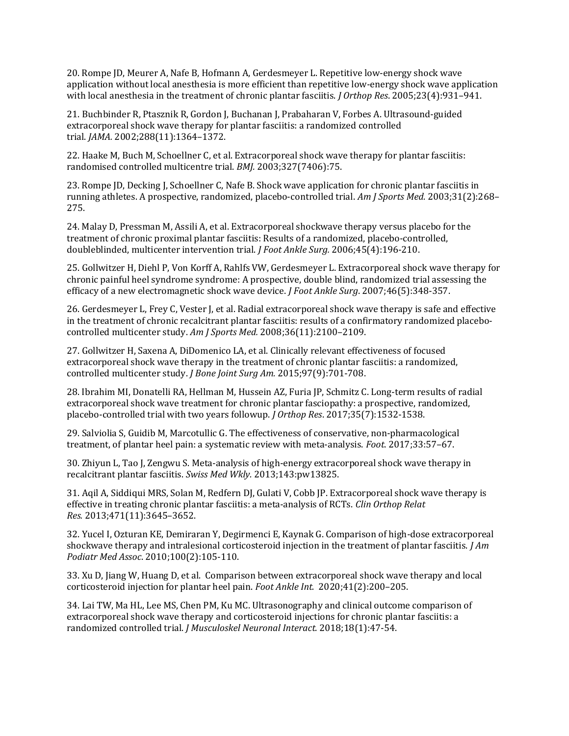20. Rompe JD, Meurer A, Nafe B, Hofmann A, Gerdesmeyer L. Repetitive low-energy shock wave application without local anesthesia is more efficient than repetitive low-energy shock wave application with local anesthesia in the treatment of chronic plantar fasciitis. *J Orthop Res*. 2005;23(4):931–941.

21. Buchbinder R, Ptasznik R, Gordon J, Buchanan J, Prabaharan V, Forbes A. Ultrasound-guided extracorporeal shock wave therapy for plantar fasciitis: a randomized controlled trial. JAMA. 2002;288(11):1364–1372.

22. Haake M, Buch M, Schoellner C, et al. Extracorporeal shock wave therapy for plantar fasciitis: randomised controlled multicentre trial. BMJ. 2003;327(7406):75.

23. Rompe JD, Decking J, Schoellner C, Nafe B. Shock wave application for chronic plantar fasciitis in running athletes. A prospective, randomized, placebo-controlled trial. Am J Sports Med. 2003;31(2):268– 275.

24. Malay D, Pressman M, Assili A, et al. Extracorporeal shockwave therapy versus placebo for the treatment of chronic proximal plantar fasciitis: Results of a randomized, placebo-controlled, doubleblinded, multicenter intervention trial. J Foot Ankle Surg. 2006;45(4):196-210.

25. Gollwitzer H, Diehl P, Von Korff A, Rahlfs VW, Gerdesmeyer L. Extracorporeal shock wave therapy for chronic painful heel syndrome syndrome: A prospective, double blind, randomized trial assessing the efficacy of a new electromagnetic shock wave device. J Foot Ankle Surg. 2007;46(5):348-357.

26. Gerdesmeyer L, Frey C, Vester J, et al. Radial extracorporeal shock wave therapy is safe and effective in the treatment of chronic recalcitrant plantar fasciitis: results of a confirmatory randomized placebocontrolled multicenter study. Am J Sports Med. 2008;36(11):2100–2109.

27. Gollwitzer H, Saxena A, DiDomenico LA, et al. Clinically relevant effectiveness of focused extracorporeal shock wave therapy in the treatment of chronic plantar fasciitis: a randomized, controlled multicenter study. J Bone Joint Surg Am. 2015;97(9):701-708.

28. Ibrahim MI, Donatelli RA, Hellman M, Hussein AZ, Furia JP, Schmitz C. Long-term results of radial extracorporeal shock wave treatment for chronic plantar fasciopathy: a prospective, randomized, placebo-controlled trial with two years followup. J Orthop Res. 2017;35(7):1532-1538.

29. Salviolia S, Guidib M, Marcotullic G. The effectiveness of conservative, non-pharmacological treatment, of plantar heel pain: a systematic review with meta-analysis. Foot. 2017;33:57–67.

30. Zhiyun L, Tao J, Zengwu S. Meta-analysis of high-energy extracorporeal shock wave therapy in recalcitrant plantar fasciitis. Swiss Med Wkly. 2013;143:pw13825.

31. Aqil A, Siddiqui MRS, Solan M, Redfern DJ, Gulati V, Cobb JP. Extracorporeal shock wave therapy is effective in treating chronic plantar fasciitis: a meta-analysis of RCTs. Clin Orthop Relat Res. 2013;471(11):3645–3652.

32. Yucel I, Ozturan KE, Demiraran Y, Degirmenci E, Kaynak G. Comparison of high-dose extracorporeal shockwave therapy and intralesional corticosteroid injection in the treatment of plantar fasciitis.  $\int Am$ Podiatr Med Assoc. 2010;100(2):105-110.

33. Xu D, Jiang W, Huang D, et al. Comparison between extracorporeal shock wave therapy and local corticosteroid injection for plantar heel pain. Foot Ankle Int. 2020;41(2):200–205.

34. Lai TW, Ma HL, Lee MS, Chen PM, Ku MC. Ultrasonography and clinical outcome comparison of extracorporeal shock wave therapy and corticosteroid injections for chronic plantar fasciitis: a randomized controlled trial. J Musculoskel Neuronal Interact. 2018;18(1):47-54.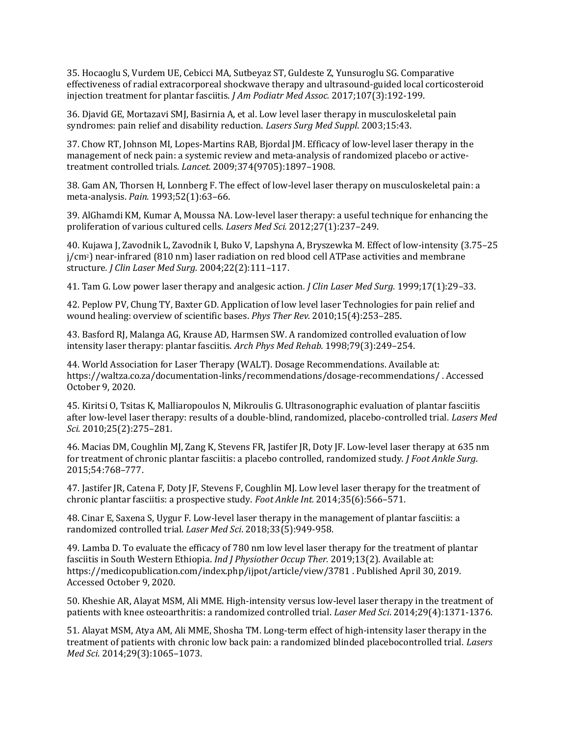35. Hocaoglu S, Vurdem UE, Cebicci MA, Sutbeyaz ST, Guldeste Z, Yunsuroglu SG. Comparative effectiveness of radial extracorporeal shockwave therapy and ultrasound-guided local corticosteroid injection treatment for plantar fasciitis. J Am Podiatr Med Assoc. 2017;107(3):192-199.

36. Djavid GE, Mortazavi SMJ, Basirnia A, et al. Low level laser therapy in musculoskeletal pain syndromes: pain relief and disability reduction. Lasers Surg Med Suppl. 2003;15:43.

37. Chow RT, Johnson MI, Lopes-Martins RAB, Bjordal JM. Efficacy of low-level laser therapy in the management of neck pain: a systemic review and meta-analysis of randomized placebo or activetreatment controlled trials. Lancet. 2009;374(9705):1897–1908.

38. Gam AN, Thorsen H, Lonnberg F. The effect of low-level laser therapy on musculoskeletal pain: a meta-analysis. Pain. 1993;52(1):63–66.

39. AlGhamdi KM, Kumar A, Moussa NA. Low-level laser therapy: a useful technique for enhancing the proliferation of various cultured cells. Lasers Med Sci. 2012;27(1):237–249.

40. Kujawa J, Zavodnik L, Zavodnik I, Buko V, Lapshyna A, Bryszewka M. Effect of low-intensity (3.75–25 j/cm2) near-infrared (810 nm) laser radiation on red blood cell ATPase activities and membrane structure. J Clin Laser Med Surg. 2004;22(2):111–117.

41. Tam G. Low power laser therapy and analgesic action. J Clin Laser Med Surg. 1999;17(1):29–33.

42. Peplow PV, Chung TY, Baxter GD. Application of low level laser Technologies for pain relief and wound healing: overview of scientific bases. Phys Ther Rev. 2010;15(4):253–285.

43. Basford RJ, Malanga AG, Krause AD, Harmsen SW. A randomized controlled evaluation of low intensity laser therapy: plantar fasciitis. Arch Phys Med Rehab. 1998;79(3):249–254.

44. World Association for Laser Therapy (WALT). Dosage Recommendations. Available at: https://waltza.co.za/documentation-links/recommendations/dosage-recommendations/ . Accessed October 9, 2020.

45. Kiritsi O, Tsitas K, Malliaropoulos N, Mikroulis G. Ultrasonographic evaluation of plantar fasciitis after low-level laser therapy: results of a double-blind, randomized, placebo-controlled trial. Lasers Med Sci. 2010;25(2):275–281.

46. Macias DM, Coughlin MJ, Zang K, Stevens FR, Jastifer JR, Doty JF. Low-level laser therapy at 635 nm for treatment of chronic plantar fasciitis: a placebo controlled, randomized study. J Foot Ankle Surg. 2015;54:768–777.

47. Jastifer JR, Catena F, Doty JF, Stevens F, Coughlin MJ. Low level laser therapy for the treatment of chronic plantar fasciitis: a prospective study. Foot Ankle Int. 2014;35(6):566–571.

48. Cinar E, Saxena S, Uygur F. Low-level laser therapy in the management of plantar fasciitis: a randomized controlled trial. Laser Med Sci. 2018;33(5):949-958.

49. Lamba D. To evaluate the efficacy of 780 nm low level laser therapy for the treatment of plantar fasciitis in South Western Ethiopia. Ind J Physiother Occup Ther. 2019;13(2). Available at: https://medicopublication.com/index.php/ijpot/article/view/3781 . Published April 30, 2019. Accessed October 9, 2020.

50. Kheshie AR, Alayat MSM, Ali MME. High-intensity versus low-level laser therapy in the treatment of patients with knee osteoarthritis: a randomized controlled trial. Laser Med Sci. 2014;29(4):1371-1376.

51. Alayat MSM, Atya AM, Ali MME, Shosha TM. Long-term effect of high-intensity laser therapy in the treatment of patients with chronic low back pain: a randomized blinded placebocontrolled trial. Lasers Med Sci. 2014;29(3):1065–1073.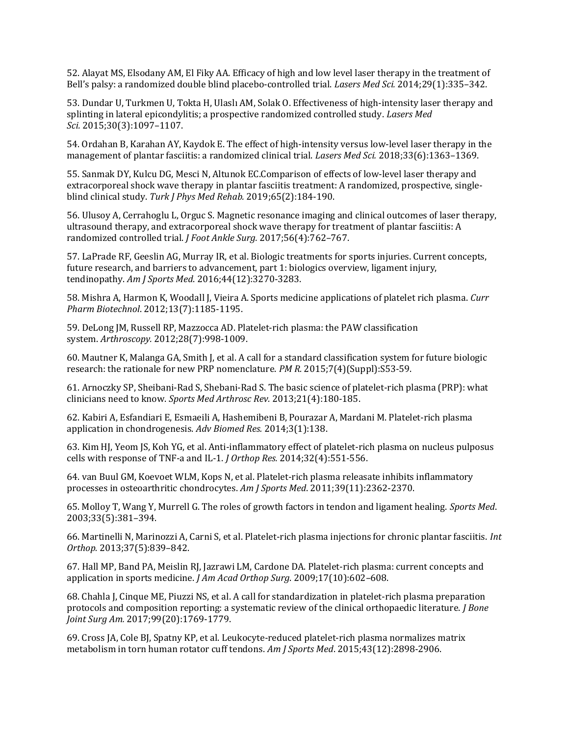52. Alayat MS, Elsodany AM, El Fiky AA. Efficacy of high and low level laser therapy in the treatment of Bell's palsy: a randomized double blind placebo-controlled trial. Lasers Med Sci. 2014;29(1):335–342.

53. Dundar U, Turkmen U, Tokta H, Ulaslı AM, Solak O. Effectiveness of high-intensity laser therapy and splinting in lateral epicondylitis; a prospective randomized controlled study. Lasers Med Sci. 2015;30(3):1097–1107.

54. Ordahan B, Karahan AY, Kaydok E. The effect of high-intensity versus low-level laser therapy in the management of plantar fasciitis: a randomized clinical trial. Lasers Med Sci. 2018;33(6):1363–1369.

55. Sanmak DY, Kulcu DG, Mesci N, Altunok EC.Comparison of effects of low-level laser therapy and extracorporeal shock wave therapy in plantar fasciitis treatment: A randomized, prospective, singleblind clinical study. Turk J Phys Med Rehab. 2019;65(2):184-190.

56. Ulusoy A, Cerrahoglu L, Orguc S. Magnetic resonance imaging and clinical outcomes of laser therapy, ultrasound therapy, and extracorporeal shock wave therapy for treatment of plantar fasciitis: A randomized controlled trial. J Foot Ankle Surg. 2017;56(4):762–767.

57. LaPrade RF, Geeslin AG, Murray IR, et al. Biologic treatments for sports injuries. Current concepts, future research, and barriers to advancement, part 1: biologics overview, ligament injury, tendinopathy. Am J Sports Med. 2016;44(12):3270-3283.

58. Mishra A, Harmon K, Woodall J, Vieira A. Sports medicine applications of platelet rich plasma. Curr Pharm Biotechnol. 2012;13(7):1185-1195.

59. DeLong JM, Russell RP, Mazzocca AD. Platelet-rich plasma: the PAW classification system. Arthroscopy. 2012;28(7):998-1009.

60. Mautner K, Malanga GA, Smith J, et al. A call for a standard classification system for future biologic research: the rationale for new PRP nomenclature. PM R. 2015;7(4)(Suppl):S53-59.

61. Arnoczky SP, Sheibani-Rad S, Shebani-Rad S. The basic science of platelet-rich plasma (PRP): what clinicians need to know. Sports Med Arthrosc Rev. 2013;21(4):180-185.

62. Kabiri A, Esfandiari E, Esmaeili A, Hashemibeni B, Pourazar A, Mardani M. Platelet-rich plasma application in chondrogenesis. Adv Biomed Res. 2014;3(1):138.

63. Kim HJ, Yeom JS, Koh YG, et al. Anti-inflammatory effect of platelet-rich plasma on nucleus pulposus cells with response of TNF-a and IL-1. J Orthop Res. 2014;32(4):551-556.

64. van Buul GM, Koevoet WLM, Kops N, et al. Platelet-rich plasma releasate inhibits inflammatory processes in osteoarthritic chondrocytes. Am J Sports Med. 2011;39(11):2362-2370.

65. Molloy T, Wang Y, Murrell G. The roles of growth factors in tendon and ligament healing. Sports Med. 2003;33(5):381–394.

66. Martinelli N, Marinozzi A, Carni S, et al. Platelet-rich plasma injections for chronic plantar fasciitis. Int Orthop. 2013;37(5):839–842.

67. Hall MP, Band PA, Meislin RJ, Jazrawi LM, Cardone DA. Platelet-rich plasma: current concepts and application in sports medicine. J Am Acad Orthop Surg. 2009;17(10):602–608.

68. Chahla J, Cinque ME, Piuzzi NS, et al. A call for standardization in platelet-rich plasma preparation protocols and composition reporting: a systematic review of the clinical orthopaedic literature. *J Bone* Joint Surg Am. 2017;99(20):1769-1779.

69. Cross JA, Cole BJ, Spatny KP, et al. Leukocyte-reduced platelet-rich plasma normalizes matrix metabolism in torn human rotator cuff tendons. Am J Sports Med. 2015;43(12):2898-2906.